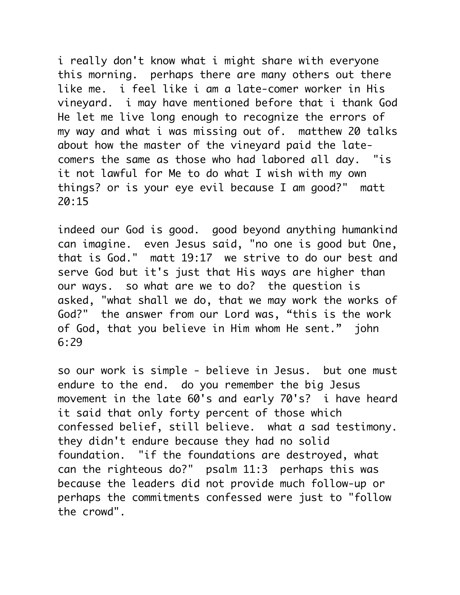i really don't know what i might share with everyone this morning. perhaps there are many others out there like me. i feel like i am a late-comer worker in His vineyard. i may have mentioned before that i thank God He let me live long enough to recognize the errors of my way and what i was missing out of. matthew 20 talks about how the master of the vineyard paid the latecomers the same as those who had labored all day. "is it not lawful for Me to do what I wish with my own things? or is your eye evil because I am good?" matt 20:15

indeed our God is good. good beyond anything humankind can imagine. even Jesus said, "no one is good but One, that is God." matt 19:17 we strive to do our best and serve God but it's just that His ways are higher than our ways. so what are we to do? the question is asked, "what shall we do, that we may work the works of God?" the answer from our Lord was, "this is the work of God, that you believe in Him whom He sent." john 6:29

so our work is simple - believe in Jesus. but one must endure to the end. do you remember the big Jesus movement in the late 60's and early 70's? i have heard it said that only forty percent of those which confessed belief, still believe. what a sad testimony. they didn't endure because they had no solid foundation. "if the foundations are destroyed, what can the righteous do?" psalm 11:3 perhaps this was because the leaders did not provide much follow-up or perhaps the commitments confessed were just to "follow the crowd".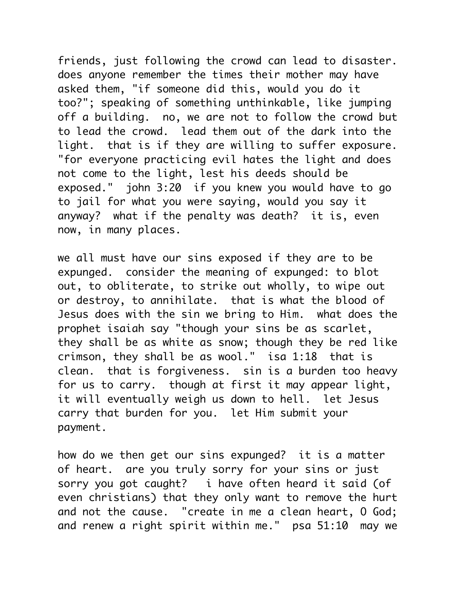friends, just following the crowd can lead to disaster. does anyone remember the times their mother may have asked them, "if someone did this, would you do it too?"; speaking of something unthinkable, like jumping off a building. no, we are not to follow the crowd but to lead the crowd. lead them out of the dark into the light. that is if they are willing to suffer exposure. "for everyone practicing evil hates the light and does not come to the light, lest his deeds should be exposed." john 3:20 if you knew you would have to go to jail for what you were saying, would you say it anyway? what if the penalty was death? it is, even now, in many places.

we all must have our sins exposed if they are to be expunged. consider the meaning of expunged: to blot out, to obliterate, to strike out wholly, to wipe out or destroy, to annihilate. that is what the blood of Jesus does with the sin we bring to Him. what does the prophet isaiah say "though your sins be as scarlet, they shall be as white as snow; though they be red like crimson, they shall be as wool." isa 1:18 that is clean. that is forgiveness. sin is a burden too heavy for us to carry. though at first it may appear light, it will eventually weigh us down to hell. let Jesus carry that burden for you. let Him submit your payment.

how do we then get our sins expunged? it is a matter of heart. are you truly sorry for your sins or just sorry you got caught? i have often heard it said (of even christians) that they only want to remove the hurt and not the cause. "create in me a clean heart, O God; and renew a right spirit within me." psa 51:10 may we